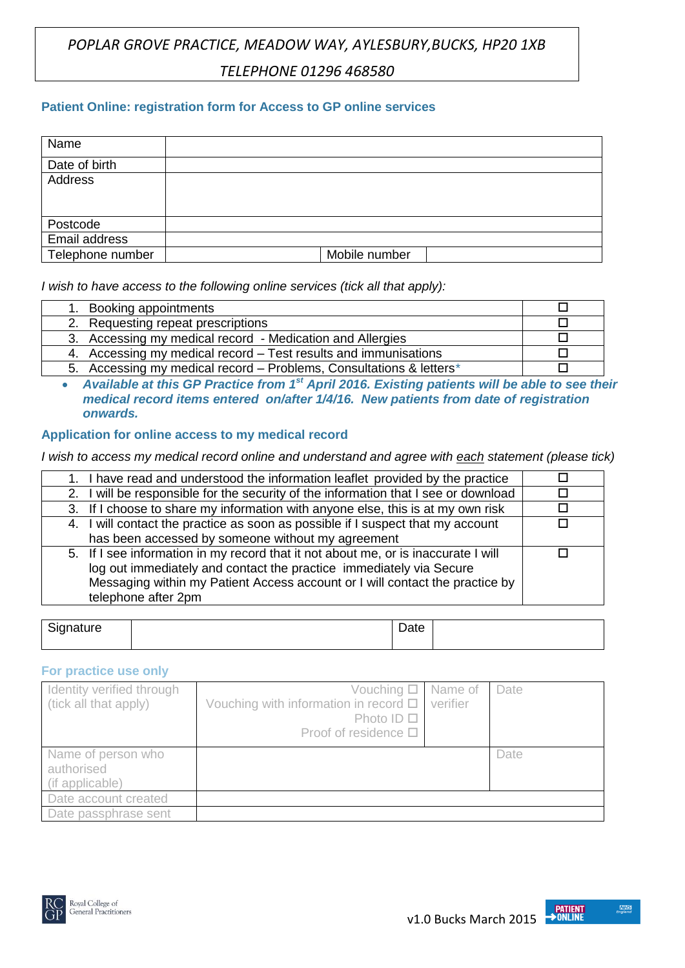# *POPLAR GROVE PRACTICE, MEADOW WAY, AYLESBURY,BUCKS, HP20 1XB TELEPHONE 01296 468580*

## **Patient Online: registration form for Access to GP online services**

| Name             |               |
|------------------|---------------|
| Date of birth    |               |
| Address          |               |
|                  |               |
|                  |               |
| Postcode         |               |
| Email address    |               |
| Telephone number | Mobile number |

*I wish to have access to the following online services (tick all that apply):*

| 1. Booking appointments                                              |  |
|----------------------------------------------------------------------|--|
| 2. Requesting repeat prescriptions                                   |  |
| 3. Accessing my medical record - Medication and Allergies            |  |
| 4. Accessing my medical record – Test results and immunisations      |  |
| 5. Accessing my medical record – Problems, Consultations & letters * |  |

 *Available at this GP Practice from 1st April 2016. Existing patients will be able to see their medical record items entered on/after 1/4/16. New patients from date of registration onwards.*

### **Application for online access to my medical record**

*I wish to access my medical record online and understand and agree with each statement (please tick)*

| 1. I have read and understood the information leaflet provided by the practice                                                                                                                                                                                   |  |
|------------------------------------------------------------------------------------------------------------------------------------------------------------------------------------------------------------------------------------------------------------------|--|
| 2. I will be responsible for the security of the information that I see or download                                                                                                                                                                              |  |
| 3. If I choose to share my information with anyone else, this is at my own risk                                                                                                                                                                                  |  |
| 4. I will contact the practice as soon as possible if I suspect that my account                                                                                                                                                                                  |  |
| has been accessed by someone without my agreement                                                                                                                                                                                                                |  |
| 5. If I see information in my record that it not about me, or is inaccurate I will<br>log out immediately and contact the practice immediately via Secure<br>Messaging within my Patient Access account or I will contact the practice by<br>telephone after 2pm |  |
|                                                                                                                                                                                                                                                                  |  |

| $\sim$<br>ature<br>۔ ت | Dalo |  |
|------------------------|------|--|
|                        |      |  |

#### **For practice use only**

| Identity verified through<br>(tick all that apply)  | Vouching $\Box$ Name of<br>Vouching with information in record $\square$<br>Photo ID $\Box$<br>Proof of residence $\square$ | verifier | Date |
|-----------------------------------------------------|-----------------------------------------------------------------------------------------------------------------------------|----------|------|
| Name of person who<br>authorised<br>(if applicable) |                                                                                                                             |          | Date |
| Date account created                                |                                                                                                                             |          |      |
| Date passphrase sent                                |                                                                                                                             |          |      |